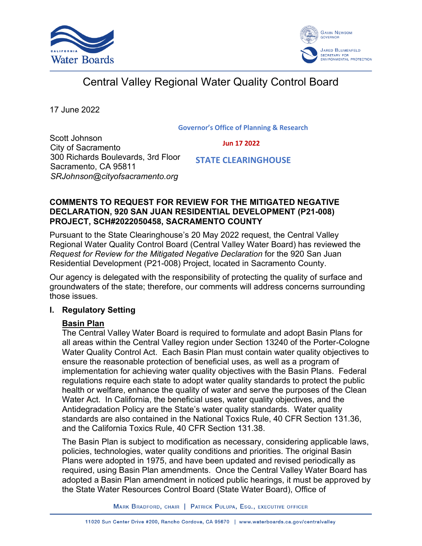



# Central Valley Regional Water Quality Control Board

17 June 2022

#### **Governor's Office of Planning & Research**

Scott Johnson City of Sacramento 300 Richards Boulevards, 3rd Floor Sacramento, CA 95811 *SRJohnson@cityofsacramento.org*

 **Jun 17 2022**

 **STATE CLEARINGHOUSE**

## **COMMENTS TO REQUEST FOR REVIEW FOR THE MITIGATED NEGATIVE DECLARATION, 920 SAN JUAN RESIDENTIAL DEVELOPMENT (P21-008) PROJECT, SCH#2022050458, SACRAMENTO COUNTY**

Pursuant to the State Clearinghouse's 20 May 2022 request, the Central Valley Regional Water Quality Control Board (Central Valley Water Board) has reviewed the *Request for Review for the Mitigated Negative Declaration* for the 920 San Juan Residential Development (P21-008) Project, located in Sacramento County.

Our agency is delegated with the responsibility of protecting the quality of surface and groundwaters of the state; therefore, our comments will address concerns surrounding those issues.

## **I. Regulatory Setting**

# **Basin Plan**

The Central Valley Water Board is required to formulate and adopt Basin Plans for all areas within the Central Valley region under Section 13240 of the Porter-Cologne Water Quality Control Act. Each Basin Plan must contain water quality objectives to ensure the reasonable protection of beneficial uses, as well as a program of implementation for achieving water quality objectives with the Basin Plans. Federal regulations require each state to adopt water quality standards to protect the public health or welfare, enhance the quality of water and serve the purposes of the Clean Water Act. In California, the beneficial uses, water quality objectives, and the Antidegradation Policy are the State's water quality standards. Water quality standards are also contained in the National Toxics Rule, 40 CFR Section 131.36, and the California Toxics Rule, 40 CFR Section 131.38.

The Basin Plan is subject to modification as necessary, considering applicable laws, policies, technologies, water quality conditions and priorities. The original Basin Plans were adopted in 1975, and have been updated and revised periodically as required, using Basin Plan amendments. Once the Central Valley Water Board has adopted a Basin Plan amendment in noticed public hearings, it must be approved by the State Water Resources Control Board (State Water Board), Office of

MARK BRADFORD, CHAIR | PATRICK PULUPA, ESQ., EXECUTIVE OFFICER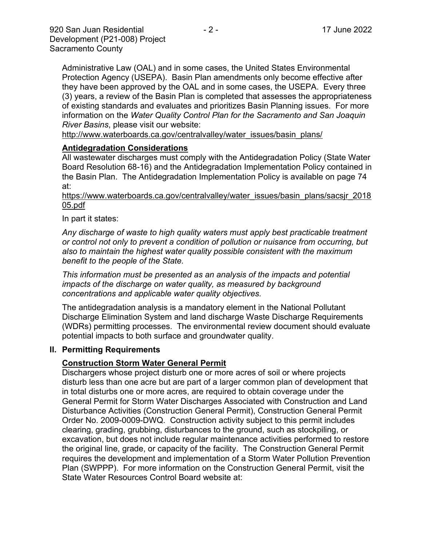Administrative Law (OAL) and in some cases, the United States Environmental Protection Agency (USEPA). Basin Plan amendments only become effective after they have been approved by the OAL and in some cases, the USEPA. Every three (3) years, a review of the Basin Plan is completed that assesses the appropriateness of existing standards and evaluates and prioritizes Basin Planning issues. For more information on the *Water Quality Control Plan for the Sacramento and San Joaquin River Basins*, please visit our website:

[http://www.waterboards.ca.gov/centralvalley/water\\_issues/basin\\_plans/](http://www.waterboards.ca.gov/centralvalley/water_issues/basin_plans/)

#### **Antidegradation Considerations**

All wastewater discharges must comply with the Antidegradation Policy (State Water Board Resolution 68-16) and the Antidegradation Implementation Policy contained in the Basin Plan. The Antidegradation Implementation Policy is available on page 74 at:

https://www.waterboards.ca.gov/centralvalley/water\_issues/basin\_plans/sacsjr\_2018 05.pdf

In part it states:

*Any discharge of waste to high quality waters must apply best practicable treatment or control not only to prevent a condition of pollution or nuisance from occurring, but also to maintain the highest water quality possible consistent with the maximum benefit to the people of the State.*

*This information must be presented as an analysis of the impacts and potential impacts of the discharge on water quality, as measured by background concentrations and applicable water quality objectives.*

The antidegradation analysis is a mandatory element in the National Pollutant Discharge Elimination System and land discharge Waste Discharge Requirements (WDRs) permitting processes. The environmental review document should evaluate potential impacts to both surface and groundwater quality.

#### **II. Permitting Requirements**

#### **Construction Storm Water General Permit**

Dischargers whose project disturb one or more acres of soil or where projects disturb less than one acre but are part of a larger common plan of development that in total disturbs one or more acres, are required to obtain coverage under the General Permit for Storm Water Discharges Associated with Construction and Land Disturbance Activities (Construction General Permit), Construction General Permit Order No. 2009-0009-DWQ. Construction activity subject to this permit includes clearing, grading, grubbing, disturbances to the ground, such as stockpiling, or excavation, but does not include regular maintenance activities performed to restore the original line, grade, or capacity of the facility. The Construction General Permit requires the development and implementation of a Storm Water Pollution Prevention Plan (SWPPP). For more information on the Construction General Permit, visit the State Water Resources Control Board website at: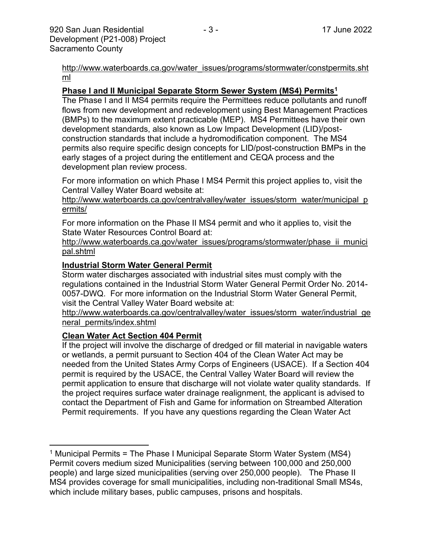[http://www.waterboards.ca.gov/water\\_issues/programs/stormwater/constpermits.sht](http://www.waterboards.ca.gov/water_issues/programs/stormwater/constpermits.shtml) [ml](http://www.waterboards.ca.gov/water_issues/programs/stormwater/constpermits.shtml)

## **Phase I and II Municipal Separate Storm Sewer System (MS4) Permits<sup>1</sup>**

The Phase I and II MS4 permits require the Permittees reduce pollutants and runoff flows from new development and redevelopment using Best Management Practices (BMPs) to the maximum extent practicable (MEP). MS4 Permittees have their own development standards, also known as Low Impact Development (LID)/postconstruction standards that include a hydromodification component. The MS4 permits also require specific design concepts for LID/post-construction BMPs in the early stages of a project during the entitlement and CEQA process and the development plan review process.

For more information on which Phase I MS4 Permit this project applies to, visit the Central Valley Water Board website at:

http://www.waterboards.ca.gov/centralvalley/water\_issues/storm\_water/municipal\_p ermits/

For more information on the Phase II MS4 permit and who it applies to, visit the State Water Resources Control Board at:

http://www.waterboards.ca.gov/water\_issues/programs/stormwater/phase\_ii\_munici pal.shtml

#### **Industrial Storm Water General Permit**

Storm water discharges associated with industrial sites must comply with the regulations contained in the Industrial Storm Water General Permit Order No. 2014- 0057-DWQ. For more information on the Industrial Storm Water General Permit, visit the Central Valley Water Board website at:

http://www.waterboards.ca.gov/centralvalley/water\_issues/storm\_water/industrial\_ge neral\_permits/index.shtml

#### **Clean Water Act Section 404 Permit**

If the project will involve the discharge of dredged or fill material in navigable waters or wetlands, a permit pursuant to Section 404 of the Clean Water Act may be needed from the United States Army Corps of Engineers (USACE). If a Section 404 permit is required by the USACE, the Central Valley Water Board will review the permit application to ensure that discharge will not violate water quality standards. If the project requires surface water drainage realignment, the applicant is advised to contact the Department of Fish and Game for information on Streambed Alteration Permit requirements. If you have any questions regarding the Clean Water Act

<sup>&</sup>lt;sup>1</sup> Municipal Permits = The Phase I Municipal Separate Storm Water System (MS4) Permit covers medium sized Municipalities (serving between 100,000 and 250,000 people) and large sized municipalities (serving over 250,000 people). The Phase II MS4 provides coverage for small municipalities, including non-traditional Small MS4s, which include military bases, public campuses, prisons and hospitals.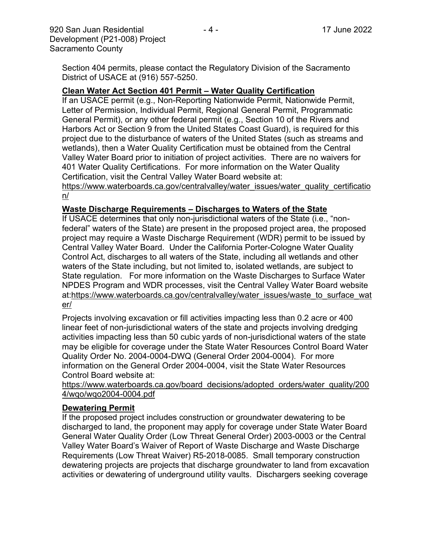Section 404 permits, please contact the Regulatory Division of the Sacramento District of USACE at (916) 557-5250.

#### **Clean Water Act Section 401 Permit – Water Quality Certification**

If an USACE permit (e.g., Non-Reporting Nationwide Permit, Nationwide Permit, Letter of Permission, Individual Permit, Regional General Permit, Programmatic General Permit), or any other federal permit (e.g., Section 10 of the Rivers and Harbors Act or Section 9 from the United States Coast Guard), is required for this project due to the disturbance of waters of the United States (such as streams and wetlands), then a Water Quality Certification must be obtained from the Central Valley Water Board prior to initiation of project activities. There are no waivers for 401 Water Quality Certifications. For more information on the Water Quality Certification, visit the Central Valley Water Board website at:

https://www.waterboards.ca.gov/centralvalley/water\_issues/water\_quality\_certificatio n/

#### **Waste Discharge Requirements – Discharges to Waters of the State**

If USACE determines that only non-jurisdictional waters of the State (i.e., "nonfederal" waters of the State) are present in the proposed project area, the proposed project may require a Waste Discharge Requirement (WDR) permit to be issued by Central Valley Water Board. Under the California Porter-Cologne Water Quality Control Act, discharges to all waters of the State, including all wetlands and other waters of the State including, but not limited to, isolated wetlands, are subject to State regulation. For more information on the Waste Discharges to Surface Water NPDES Program and WDR processes, visit the Central Valley Water Board website at:https://www.waterboards.ca.gov/centralvalley/water\_issues/waste\_to\_surface\_wat er/

Projects involving excavation or fill activities impacting less than 0.2 acre or 400 linear feet of non-jurisdictional waters of the state and projects involving dredging activities impacting less than 50 cubic yards of non-jurisdictional waters of the state may be eligible for coverage under the State Water Resources Control Board Water Quality Order No. 2004-0004-DWQ (General Order 2004-0004). For more information on the General Order 2004-0004, visit the State Water Resources Control Board website at:

https://www.waterboards.ca.gov/board\_decisions/adopted\_orders/water\_quality/200 4/wqo/wqo2004-0004.pdf

#### **Dewatering Permit**

If the proposed project includes construction or groundwater dewatering to be discharged to land, the proponent may apply for coverage under State Water Board General Water Quality Order (Low Threat General Order) 2003-0003 or the Central Valley Water Board's Waiver of Report of Waste Discharge and Waste Discharge Requirements (Low Threat Waiver) R5-2018-0085. Small temporary construction dewatering projects are projects that discharge groundwater to land from excavation activities or dewatering of underground utility vaults. Dischargers seeking coverage